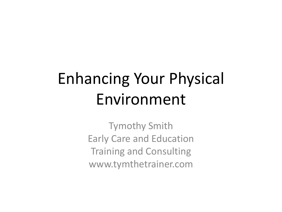## Enhancing Your Physical Environment

Tymothy Smith Early Care and Education Training and Consulting www.tymthetrainer.com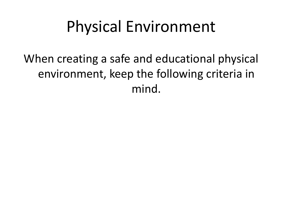When creating a safe and educational physical environment, keep the following criteria in mind.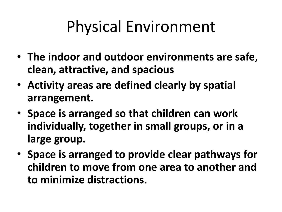- **The indoor and outdoor environments are safe, clean, attractive, and spacious**
- **Activity areas are defined clearly by spatial arrangement.**
- **Space is arranged so that children can work individually, together in small groups, or in a large group.**
- **Space is arranged to provide clear pathways for children to move from one area to another and to minimize distractions.**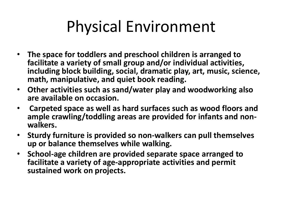- **The space for toddlers and preschool children is arranged to facilitate a variety of small group and/or individual activities, including block building, social, dramatic play, art, music, science, math, manipulative, and quiet book reading.**
- **Other activities such as sand/water play and woodworking also are available on occasion.**
- **Carpeted space as well as hard surfaces such as wood floors and ample crawling/toddling areas are provided for infants and nonwalkers.**
- **Sturdy furniture is provided so non-walkers can pull themselves up or balance themselves while walking.**
- **School-age children are provided separate space arranged to facilitate a variety of age-appropriate activities and permit sustained work on projects.**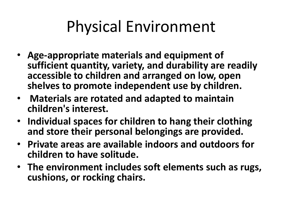- **Age-appropriate materials and equipment of sufficient quantity, variety, and durability are readily accessible to children and arranged on low, open shelves to promote independent use by children.**
- **Materials are rotated and adapted to maintain children's interest.**
- **Individual spaces for children to hang their clothing and store their personal belongings are provided.**
- **Private areas are available indoors and outdoors for children to have solitude.**
- **The environment includes soft elements such as rugs, cushions, or rocking chairs.**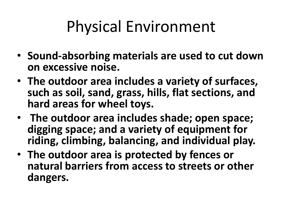- **Sound-absorbing materials are used to cut down on excessive noise.**
- **The outdoor area includes a variety of surfaces, such as soil, sand, grass, hills, flat sections, and hard areas for wheel toys.**
- **The outdoor area includes shade; open space; digging space; and a variety of equipment for riding, climbing, balancing, and individual play.**
- **The outdoor area is protected by fences or natural barriers from access to streets or other dangers.**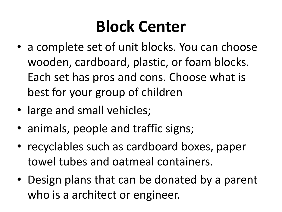#### **Block Center**

- a complete set of unit blocks. You can choose wooden, cardboard, plastic, or foam blocks. Each set has pros and cons. Choose what is best for your group of children
- large and small vehicles;
- animals, people and traffic signs;
- recyclables such as cardboard boxes, paper towel tubes and oatmeal containers.
- Design plans that can be donated by a parent who is a architect or engineer.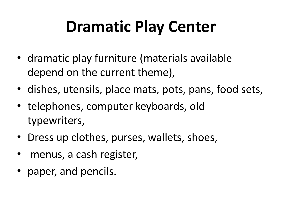## **Dramatic Play Center**

- dramatic play furniture (materials available depend on the current theme),
- dishes, utensils, place mats, pots, pans, food sets,
- telephones, computer keyboards, old typewriters,
- Dress up clothes, purses, wallets, shoes,
- menus, a cash register,
- paper, and pencils.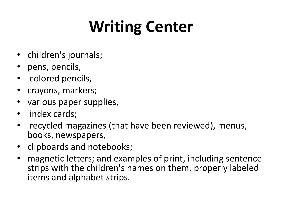## **Writing Center**

- children's journals;
- pens, pencils,
- colored pencils,
- crayons, markers;
- various paper supplies,
- index cards;
- recycled magazines (that have been reviewed), menus, books, newspapers,
- clipboards and notebooks;
- magnetic letters; and examples of print, including sentence strips with the children's names on them, properly labeled items and alphabet strips.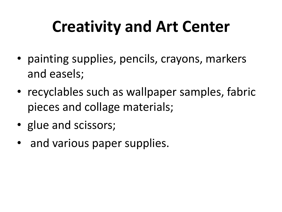### **Creativity and Art Center**

- painting supplies, pencils, crayons, markers and easels;
- recyclables such as wallpaper samples, fabric pieces and collage materials;
- glue and scissors;
- and various paper supplies.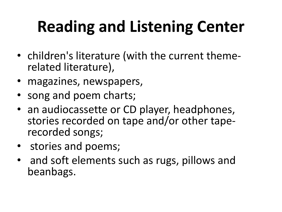# **Reading and Listening Center**

- children's literature (with the current themerelated literature),
- magazines, newspapers,
- song and poem charts;
- an audiocassette or CD player, headphones, stories recorded on tape and/or other taperecorded songs;
- stories and poems;
- and soft elements such as rugs, pillows and beanbags.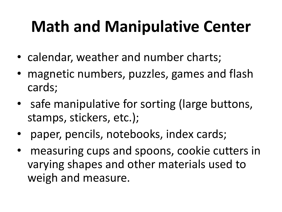## **Math and Manipulative Center**

- calendar, weather and number charts;
- magnetic numbers, puzzles, games and flash cards;
- safe manipulative for sorting (large buttons, stamps, stickers, etc.);
- paper, pencils, notebooks, index cards;
- measuring cups and spoons, cookie cutters in varying shapes and other materials used to weigh and measure.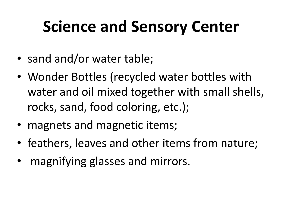### **Science and Sensory Center**

- sand and/or water table;
- Wonder Bottles (recycled water bottles with water and oil mixed together with small shells, rocks, sand, food coloring, etc.);
- magnets and magnetic items;
- feathers, leaves and other items from nature;
- magnifying glasses and mirrors.